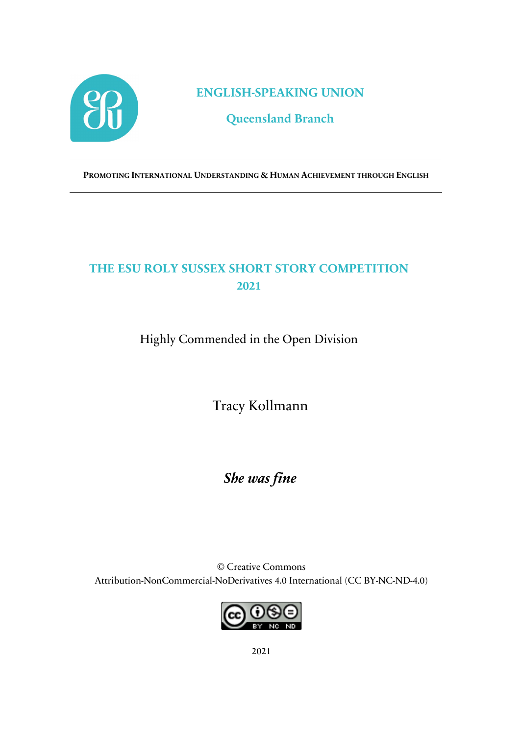

**ENGLISH-SPEAKING UNION**

**Queensland Branch**

**PROMOTING INTERNATIONAL UNDERSTANDING & HUMAN ACHIEVEMENT THROUGH ENGLISH**

## **THE ESU ROLY SUSSEX SHORT STORY COMPETITION 2021**

Highly Commended in the Open Division

Tracy Kollmann

*She was fine*

© Creative Commons Attribution-NonCommercial-NoDerivatives 4.0 International (CC BY-NC-ND-4.0)



2021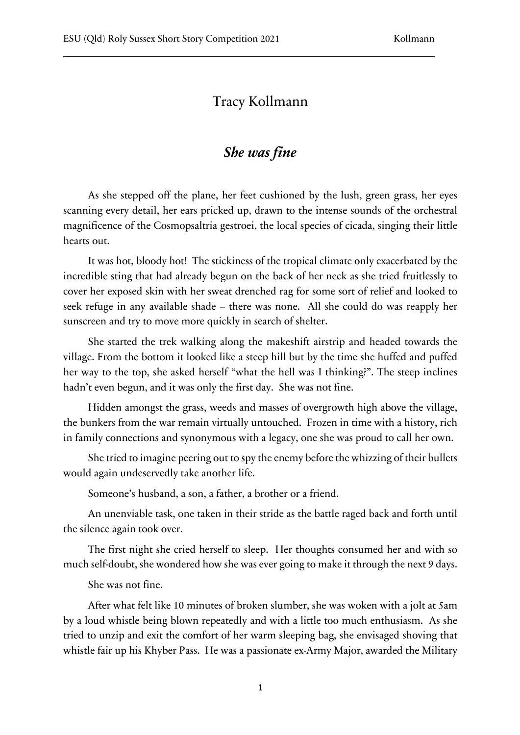## Tracy Kollmann

## *She was fine*

As she stepped off the plane, her feet cushioned by the lush, green grass, her eyes scanning every detail, her ears pricked up, drawn to the intense sounds of the orchestral magnificence of the Cosmopsaltria gestroei, the local species of cicada, singing their little hearts out.

It was hot, bloody hot! The stickiness of the tropical climate only exacerbated by the incredible sting that had already begun on the back of her neck as she tried fruitlessly to cover her exposed skin with her sweat drenched rag for some sort of relief and looked to seek refuge in any available shade – there was none. All she could do was reapply her sunscreen and try to move more quickly in search of shelter.

She started the trek walking along the makeshift airstrip and headed towards the village. From the bottom it looked like a steep hill but by the time she huffed and puffed her way to the top, she asked herself "what the hell was I thinking?". The steep inclines hadn't even begun, and it was only the first day. She was not fine.

Hidden amongst the grass, weeds and masses of overgrowth high above the village, the bunkers from the war remain virtually untouched. Frozen in time with a history, rich in family connections and synonymous with a legacy, one she was proud to call her own.

She tried to imagine peering out to spy the enemy before the whizzing of their bullets would again undeservedly take another life.

Someone's husband, a son, a father, a brother or a friend.

An unenviable task, one taken in their stride as the battle raged back and forth until the silence again took over.

The first night she cried herself to sleep. Her thoughts consumed her and with so much self-doubt, she wondered how she was ever going to make it through the next 9 days.

She was not fine.

After what felt like 10 minutes of broken slumber, she was woken with a jolt at 5am by a loud whistle being blown repeatedly and with a little too much enthusiasm. As she tried to unzip and exit the comfort of her warm sleeping bag, she envisaged shoving that whistle fair up his Khyber Pass. He was a passionate ex-Army Major, awarded the Military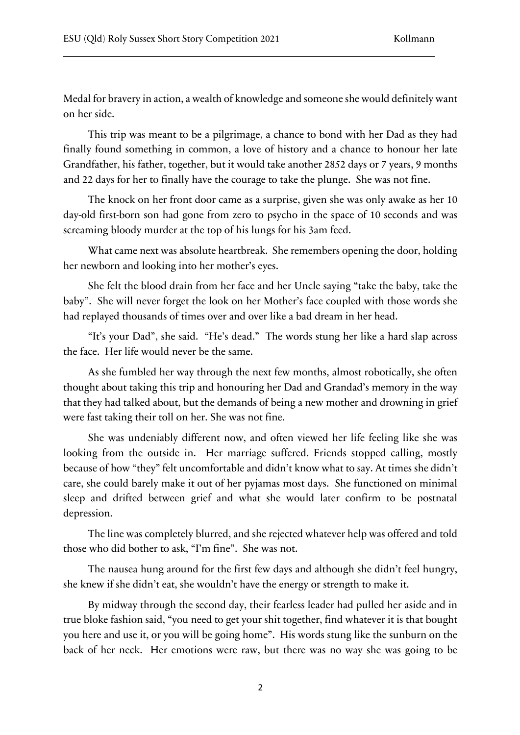Medal for bravery in action, a wealth of knowledge and someone she would definitely want on her side.

This trip was meant to be a pilgrimage, a chance to bond with her Dad as they had finally found something in common, a love of history and a chance to honour her late Grandfather, his father, together, but it would take another 2852 days or 7 years, 9 months and 22 days for her to finally have the courage to take the plunge. She was not fine.

The knock on her front door came as a surprise, given she was only awake as her 10 day-old first-born son had gone from zero to psycho in the space of 10 seconds and was screaming bloody murder at the top of his lungs for his 3am feed.

What came next was absolute heartbreak. She remembers opening the door, holding her newborn and looking into her mother's eyes.

She felt the blood drain from her face and her Uncle saying "take the baby, take the baby". She will never forget the look on her Mother's face coupled with those words she had replayed thousands of times over and over like a bad dream in her head.

"It's your Dad", she said. "He's dead." The words stung her like a hard slap across the face. Her life would never be the same.

As she fumbled her way through the next few months, almost robotically, she often thought about taking this trip and honouring her Dad and Grandad's memory in the way that they had talked about, but the demands of being a new mother and drowning in grief were fast taking their toll on her. She was not fine.

She was undeniably different now, and often viewed her life feeling like she was looking from the outside in. Her marriage suffered. Friends stopped calling, mostly because of how "they" felt uncomfortable and didn't know what to say. At times she didn't care, she could barely make it out of her pyjamas most days. She functioned on minimal sleep and drifted between grief and what she would later confirm to be postnatal depression.

The line was completely blurred, and she rejected whatever help was offered and told those who did bother to ask, "I'm fine". She was not.

The nausea hung around for the first few days and although she didn't feel hungry, she knew if she didn't eat, she wouldn't have the energy or strength to make it.

By midway through the second day, their fearless leader had pulled her aside and in true bloke fashion said, "you need to get your shit together, find whatever it is that bought you here and use it, or you will be going home". His words stung like the sunburn on the back of her neck. Her emotions were raw, but there was no way she was going to be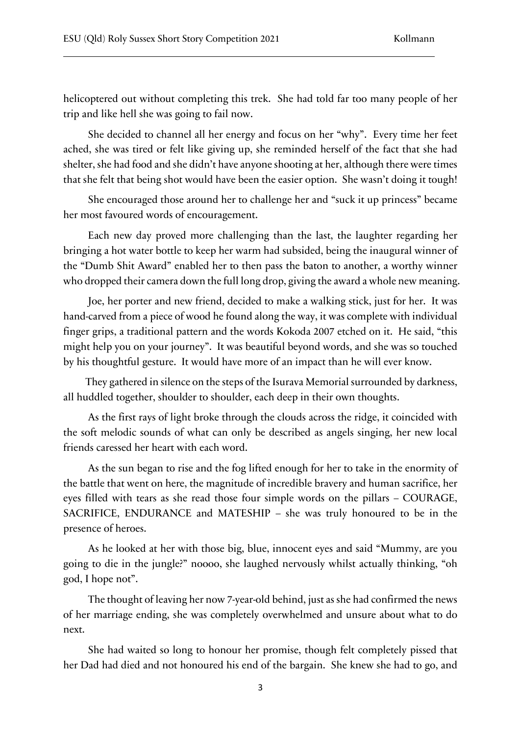helicoptered out without completing this trek. She had told far too many people of her trip and like hell she was going to fail now.

She decided to channel all her energy and focus on her "why". Every time her feet ached, she was tired or felt like giving up, she reminded herself of the fact that she had shelter, she had food and she didn't have anyone shooting at her, although there were times that she felt that being shot would have been the easier option. She wasn't doing it tough!

She encouraged those around her to challenge her and "suck it up princess" became her most favoured words of encouragement.

Each new day proved more challenging than the last, the laughter regarding her bringing a hot water bottle to keep her warm had subsided, being the inaugural winner of the "Dumb Shit Award" enabled her to then pass the baton to another, a worthy winner who dropped their camera down the full long drop, giving the award a whole new meaning.

Joe, her porter and new friend, decided to make a walking stick, just for her. It was hand-carved from a piece of wood he found along the way, it was complete with individual finger grips, a traditional pattern and the words Kokoda 2007 etched on it. He said, "this might help you on your journey". It was beautiful beyond words, and she was so touched by his thoughtful gesture. It would have more of an impact than he will ever know.

They gathered in silence on the steps of the Isurava Memorial surrounded by darkness, all huddled together, shoulder to shoulder, each deep in their own thoughts.

As the first rays of light broke through the clouds across the ridge, it coincided with the soft melodic sounds of what can only be described as angels singing, her new local friends caressed her heart with each word.

As the sun began to rise and the fog lifted enough for her to take in the enormity of the battle that went on here, the magnitude of incredible bravery and human sacrifice, her eyes filled with tears as she read those four simple words on the pillars – COURAGE, SACRIFICE, ENDURANCE and MATESHIP – she was truly honoured to be in the presence of heroes.

As he looked at her with those big, blue, innocent eyes and said "Mummy, are you going to die in the jungle?" noooo, she laughed nervously whilst actually thinking, "oh god, I hope not".

The thought of leaving her now 7-year-old behind, just as she had confirmed the news of her marriage ending, she was completely overwhelmed and unsure about what to do next.

She had waited so long to honour her promise, though felt completely pissed that her Dad had died and not honoured his end of the bargain. She knew she had to go, and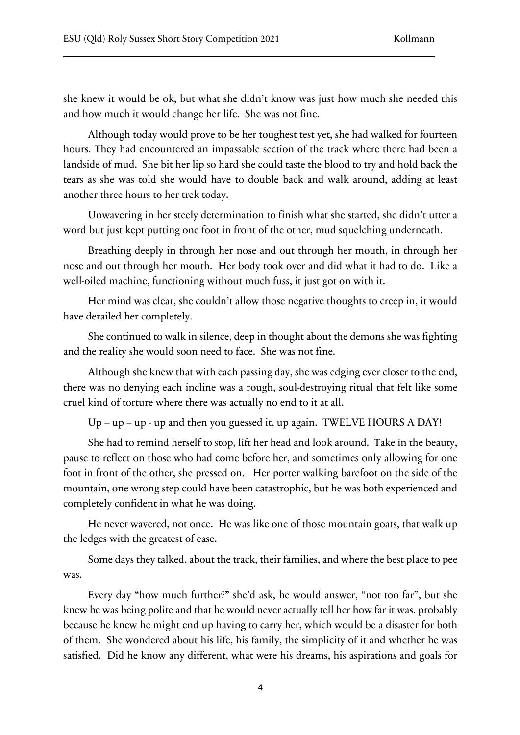she knew it would be ok, but what she didn't know was just how much she needed this and how much it would change her life. She was not fine.

Although today would prove to be her toughest test yet, she had walked for fourteen hours. They had encountered an impassable section of the track where there had been a landside of mud. She bit her lip so hard she could taste the blood to try and hold back the tears as she was told she would have to double back and walk around, adding at least another three hours to her trek today.

Unwavering in her steely determination to finish what she started, she didn't utter a word but just kept putting one foot in front of the other, mud squelching underneath.

Breathing deeply in through her nose and out through her mouth, in through her nose and out through her mouth. Her body took over and did what it had to do. Like a well-oiled machine, functioning without much fuss, it just got on with it.

Her mind was clear, she couldn't allow those negative thoughts to creep in, it would have derailed her completely.

She continued to walk in silence, deep in thought about the demons she was fighting and the reality she would soon need to face. She was not fine.

Although she knew that with each passing day, she was edging ever closer to the end, there was no denying each incline was a rough, soul-destroying ritual that felt like some cruel kind of torture where there was actually no end to it at all.

 $Up-up-up$  - up - up and then you guessed it, up again. TWELVE HOURS A DAY!

She had to remind herself to stop, lift her head and look around. Take in the beauty, pause to reflect on those who had come before her, and sometimes only allowing for one foot in front of the other, she pressed on. Her porter walking barefoot on the side of the mountain, one wrong step could have been catastrophic, but he was both experienced and completely confident in what he was doing.

He never wavered, not once. He was like one of those mountain goats, that walk up the ledges with the greatest of ease.

Some days they talked, about the track, their families, and where the best place to pee was.

Every day "how much further?" she'd ask, he would answer, "not too far", but she knew he was being polite and that he would never actually tell her how far it was, probably because he knew he might end up having to carry her, which would be a disaster for both of them. She wondered about his life, his family, the simplicity of it and whether he was satisfied. Did he know any different, what were his dreams, his aspirations and goals for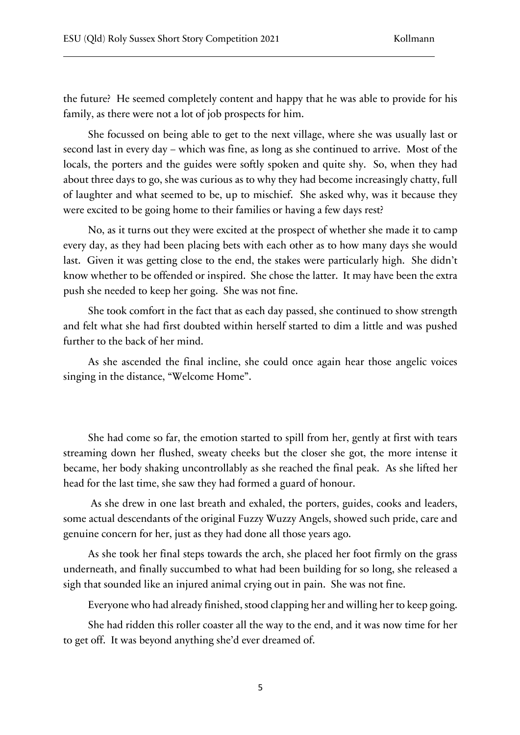the future? He seemed completely content and happy that he was able to provide for his family, as there were not a lot of job prospects for him.

She focussed on being able to get to the next village, where she was usually last or second last in every day – which was fine, as long as she continued to arrive. Most of the locals, the porters and the guides were softly spoken and quite shy. So, when they had about three days to go, she was curious as to why they had become increasingly chatty, full of laughter and what seemed to be, up to mischief. She asked why, was it because they were excited to be going home to their families or having a few days rest?

No, as it turns out they were excited at the prospect of whether she made it to camp every day, as they had been placing bets with each other as to how many days she would last. Given it was getting close to the end, the stakes were particularly high. She didn't know whether to be offended or inspired. She chose the latter. It may have been the extra push she needed to keep her going. She was not fine.

She took comfort in the fact that as each day passed, she continued to show strength and felt what she had first doubted within herself started to dim a little and was pushed further to the back of her mind.

As she ascended the final incline, she could once again hear those angelic voices singing in the distance, "Welcome Home".

She had come so far, the emotion started to spill from her, gently at first with tears streaming down her flushed, sweaty cheeks but the closer she got, the more intense it became, her body shaking uncontrollably as she reached the final peak. As she lifted her head for the last time, she saw they had formed a guard of honour.

As she drew in one last breath and exhaled, the porters, guides, cooks and leaders, some actual descendants of the original Fuzzy Wuzzy Angels, showed such pride, care and genuine concern for her, just as they had done all those years ago.

As she took her final steps towards the arch, she placed her foot firmly on the grass underneath, and finally succumbed to what had been building for so long, she released a sigh that sounded like an injured animal crying out in pain. She was not fine.

Everyone who had already finished, stood clapping her and willing her to keep going.

She had ridden this roller coaster all the way to the end, and it was now time for her to get off. It was beyond anything she'd ever dreamed of.